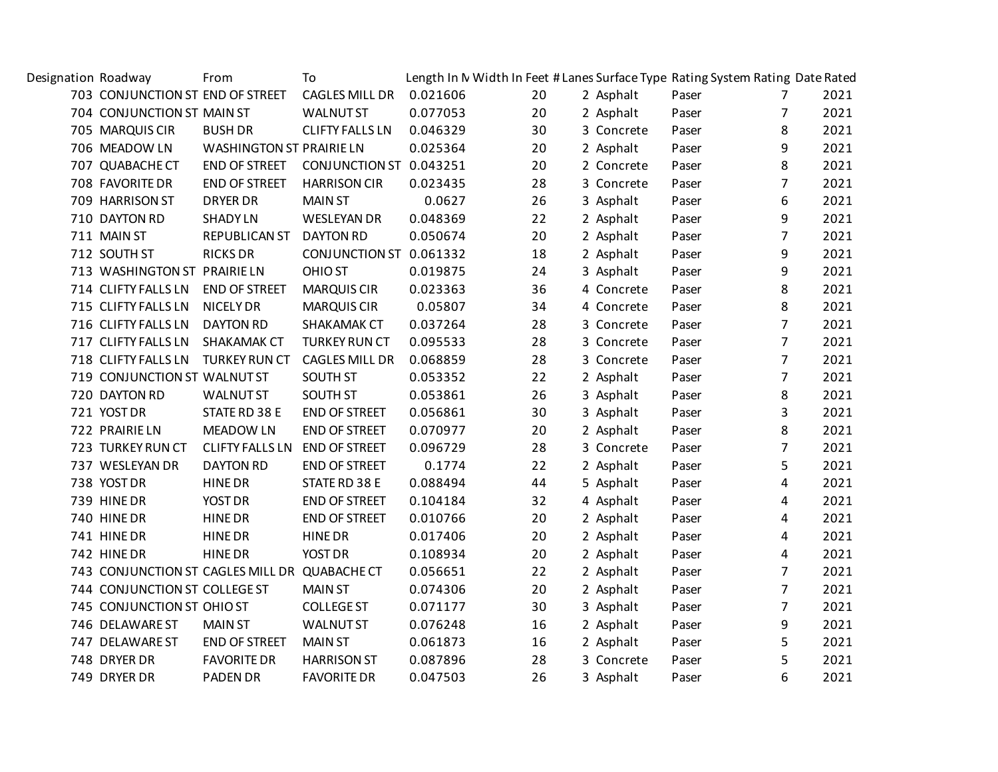| Designation Roadway |                                               | From                            | To                       |          | Length In N Width In Feet # Lanes Surface Type Rating System Rating Date Rated |            |       |                |      |
|---------------------|-----------------------------------------------|---------------------------------|--------------------------|----------|--------------------------------------------------------------------------------|------------|-------|----------------|------|
|                     | 703 CONJUNCTION ST END OF STREET              |                                 | CAGLES MILL DR  0.021606 |          | 20                                                                             | 2 Asphalt  | Paser | $\overline{7}$ | 2021 |
|                     | 704 CONJUNCTION ST MAIN ST                    |                                 | <b>WALNUT ST</b>         | 0.077053 | 20                                                                             | 2 Asphalt  | Paser | $\overline{7}$ | 2021 |
|                     | 705 MARQUIS CIR                               | <b>BUSH DR</b>                  | <b>CLIFTY FALLS LN</b>   | 0.046329 | 30                                                                             | 3 Concrete | Paser | 8              | 2021 |
|                     | 706 MEADOW LN                                 | <b>WASHINGTON ST PRAIRIE LN</b> |                          | 0.025364 | 20                                                                             | 2 Asphalt  | Paser | 9              | 2021 |
|                     | 707 QUABACHE CT                               | END OF STREET                   | CONJUNCTION ST 0.043251  |          | 20                                                                             | 2 Concrete | Paser | 8              | 2021 |
|                     | 708 FAVORITE DR                               | END OF STREET                   | <b>HARRISON CIR</b>      | 0.023435 | 28                                                                             | 3 Concrete | Paser | $\overline{7}$ | 2021 |
|                     | 709 HARRISON ST                               | <b>DRYER DR</b>                 | <b>MAIN ST</b>           | 0.0627   | 26                                                                             | 3 Asphalt  | Paser | 6              | 2021 |
|                     | 710 DAYTON RD                                 | <b>SHADYLN</b>                  | <b>WESLEYAN DR</b>       | 0.048369 | 22                                                                             | 2 Asphalt  | Paser | 9              | 2021 |
|                     | 711 MAIN ST                                   | REPUBLICAN ST                   | <b>DAYTON RD</b>         | 0.050674 | 20                                                                             | 2 Asphalt  | Paser | $\overline{7}$ | 2021 |
|                     | 712 SOUTH ST                                  | <b>RICKS DR</b>                 | CONJUNCTION ST 0.061332  |          | 18                                                                             | 2 Asphalt  | Paser | 9              | 2021 |
|                     | 713 WASHINGTON ST PRAIRIE LN                  |                                 | <b>OHIO ST</b>           | 0.019875 | 24                                                                             | 3 Asphalt  | Paser | 9              | 2021 |
|                     | 714 CLIFTY FALLS LN                           | <b>END OF STREET</b>            | <b>MARQUIS CIR</b>       | 0.023363 | 36                                                                             | 4 Concrete | Paser | 8              | 2021 |
|                     | 715 CLIFTY FALLS LN                           | <b>NICELY DR</b>                | <b>MARQUIS CIR</b>       | 0.05807  | 34                                                                             | 4 Concrete | Paser | 8              | 2021 |
|                     | 716 CLIFTY FALLS LN                           | <b>DAYTON RD</b>                | SHAKAMAK CT              | 0.037264 | 28                                                                             | 3 Concrete | Paser | $\overline{7}$ | 2021 |
|                     | 717 CLIFTY FALLS LN                           | SHAKAMAK CT                     | <b>TURKEY RUN CT</b>     | 0.095533 | 28                                                                             | 3 Concrete | Paser | $\overline{7}$ | 2021 |
|                     | 718 CLIFTY FALLS LN                           | <b>TURKEY RUN CT</b>            | <b>CAGLES MILL DR</b>    | 0.068859 | 28                                                                             | 3 Concrete | Paser | $\overline{7}$ | 2021 |
|                     | 719 CONJUNCTION ST WALNUT ST                  |                                 | <b>SOUTH ST</b>          | 0.053352 | 22                                                                             | 2 Asphalt  | Paser | $\overline{7}$ | 2021 |
|                     | 720 DAYTON RD                                 | <b>WALNUT ST</b>                | <b>SOUTH ST</b>          | 0.053861 | 26                                                                             | 3 Asphalt  | Paser | 8              | 2021 |
|                     | 721 YOST DR                                   | STATE RD 38 E                   | END OF STREET            | 0.056861 | 30                                                                             | 3 Asphalt  | Paser | 3              | 2021 |
|                     | 722 PRAIRIE LN                                | <b>MEADOW LN</b>                | END OF STREET            | 0.070977 | 20                                                                             | 2 Asphalt  | Paser | 8              | 2021 |
|                     | 723 TURKEY RUN CT                             | <b>CLIFTY FALLS LN</b>          | <b>END OF STREET</b>     | 0.096729 | 28                                                                             | 3 Concrete | Paser | $\overline{7}$ | 2021 |
|                     | 737 WESLEYAN DR                               | <b>DAYTON RD</b>                | END OF STREET            | 0.1774   | 22                                                                             | 2 Asphalt  | Paser | 5              | 2021 |
|                     | 738 YOST DR                                   | <b>HINE DR</b>                  | STATE RD 38 E            | 0.088494 | 44                                                                             | 5 Asphalt  | Paser | 4              | 2021 |
|                     | 739 HINE DR                                   | YOST DR                         | <b>END OF STREET</b>     | 0.104184 | 32                                                                             | 4 Asphalt  | Paser | 4              | 2021 |
|                     | 740 HINE DR                                   | <b>HINE DR</b>                  | END OF STREET            | 0.010766 | 20                                                                             | 2 Asphalt  | Paser | 4              | 2021 |
|                     | 741 HINEDR                                    | <b>HINE DR</b>                  | <b>HINE DR</b>           | 0.017406 | 20                                                                             | 2 Asphalt  | Paser | 4              | 2021 |
|                     | 742 HINEDR                                    | <b>HINE DR</b>                  | YOST DR                  | 0.108934 | 20                                                                             | 2 Asphalt  | Paser | 4              | 2021 |
|                     | 743 CONJUNCTION ST CAGLES MILL DR QUABACHE CT |                                 |                          | 0.056651 | 22                                                                             | 2 Asphalt  | Paser | $\overline{7}$ | 2021 |
|                     | 744 CONJUNCTION ST COLLEGE ST                 |                                 | <b>MAIN ST</b>           | 0.074306 | 20                                                                             | 2 Asphalt  | Paser | $\overline{7}$ | 2021 |
|                     | 745 CONJUNCTION ST OHIO ST                    |                                 | <b>COLLEGE ST</b>        | 0.071177 | 30                                                                             | 3 Asphalt  | Paser | $\overline{7}$ | 2021 |
|                     | 746 DELAWARE ST                               | <b>MAIN ST</b>                  | <b>WALNUT ST</b>         | 0.076248 | 16                                                                             | 2 Asphalt  | Paser | 9              | 2021 |
|                     | 747 DELAWARE ST                               | END OF STREET                   | <b>MAIN ST</b>           | 0.061873 | 16                                                                             | 2 Asphalt  | Paser | 5              | 2021 |
|                     | 748 DRYER DR                                  | <b>FAVORITE DR</b>              | <b>HARRISON ST</b>       | 0.087896 | 28                                                                             | 3 Concrete | Paser | 5              | 2021 |
|                     | 749 DRYER DR                                  | <b>PADEN DR</b>                 | <b>FAVORITE DR</b>       | 0.047503 | 26                                                                             | 3 Asphalt  | Paser | 6              | 2021 |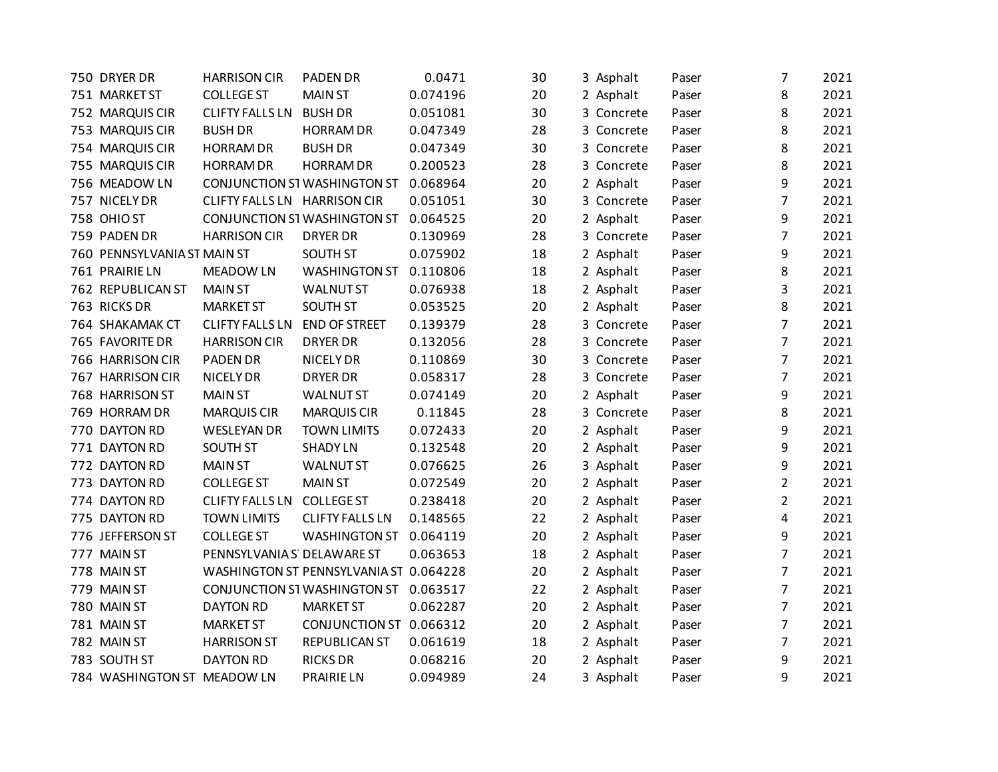| 750 DRYER DR                | <b>HARRISON CIR</b>          | <b>PADEN DR</b>                        | 0.0471   | 30 | 3 Asphalt  | Paser | $\overline{7}$ | 2021 |
|-----------------------------|------------------------------|----------------------------------------|----------|----|------------|-------|----------------|------|
| 751 MARKET ST               | <b>COLLEGE ST</b>            | <b>MAIN ST</b>                         | 0.074196 | 20 | 2 Asphalt  | Paser | 8              | 2021 |
| 752 MARQUIS CIR             | <b>CLIFTY FALLS LN</b>       | <b>BUSH DR</b>                         | 0.051081 | 30 | 3 Concrete | Paser | 8              | 2021 |
| 753 MARQUIS CIR             | <b>BUSH DR</b>               | <b>HORRAM DR</b>                       | 0.047349 | 28 | 3 Concrete | Paser | 8              | 2021 |
| 754 MARQUIS CIR             | <b>HORRAM DR</b>             | <b>BUSH DR</b>                         | 0.047349 | 30 | 3 Concrete | Paser | 8              | 2021 |
| 755 MARQUIS CIR             | <b>HORRAM DR</b>             | <b>HORRAM DR</b>                       | 0.200523 | 28 | 3 Concrete | Paser | 8              | 2021 |
| 756 MEADOW LN               |                              | CONJUNCTION ST WASHINGTON ST           | 0.068964 | 20 | 2 Asphalt  | Paser | 9              | 2021 |
| 757 NICELY DR               | CLIFTY FALLS LN HARRISON CIR |                                        | 0.051051 | 30 | 3 Concrete | Paser | $\overline{7}$ | 2021 |
| 758 OHIO ST                 |                              | CONJUNCTION ST WASHINGTON ST           | 0.064525 | 20 | 2 Asphalt  | Paser | 9              | 2021 |
| 759 PADEN DR                | <b>HARRISON CIR</b>          | <b>DRYER DR</b>                        | 0.130969 | 28 | 3 Concrete | Paser | $\overline{7}$ | 2021 |
| 760 PENNSYLVANIA ST MAIN ST |                              | <b>SOUTH ST</b>                        | 0.075902 | 18 | 2 Asphalt  | Paser | 9              | 2021 |
| 761 PRAIRIE LN              | <b>MEADOW LN</b>             | <b>WASHINGTON ST</b>                   | 0.110806 | 18 | 2 Asphalt  | Paser | 8              | 2021 |
| 762 REPUBLICAN ST           | <b>MAIN ST</b>               | <b>WALNUT ST</b>                       | 0.076938 | 18 | 2 Asphalt  | Paser | 3              | 2021 |
| 763 RICKS DR                | <b>MARKET ST</b>             | <b>SOUTH ST</b>                        | 0.053525 | 20 | 2 Asphalt  | Paser | 8              | 2021 |
| 764 SHAKAMAK CT             | <b>CLIFTY FALLS LN</b>       | <b>END OF STREET</b>                   | 0.139379 | 28 | 3 Concrete | Paser | $\overline{7}$ | 2021 |
| 765 FAVORITE DR             | <b>HARRISON CIR</b>          | <b>DRYER DR</b>                        | 0.132056 | 28 | 3 Concrete | Paser | $\overline{7}$ | 2021 |
| 766 HARRISON CIR            | <b>PADEN DR</b>              | <b>NICELY DR</b>                       | 0.110869 | 30 | 3 Concrete | Paser | $\overline{7}$ | 2021 |
| 767 HARRISON CIR            | NICELY DR                    | <b>DRYER DR</b>                        | 0.058317 | 28 | 3 Concrete | Paser | 7              | 2021 |
| 768 HARRISON ST             | <b>MAIN ST</b>               | <b>WALNUT ST</b>                       | 0.074149 | 20 | 2 Asphalt  | Paser | 9              | 2021 |
| 769 HORRAM DR               | <b>MARQUIS CIR</b>           | <b>MARQUIS CIR</b>                     | 0.11845  | 28 | 3 Concrete | Paser | 8              | 2021 |
| 770 DAYTON RD               | <b>WESLEYAN DR</b>           | <b>TOWN LIMITS</b>                     | 0.072433 | 20 | 2 Asphalt  | Paser | 9              | 2021 |
| 771 DAYTON RD               | SOUTH ST                     | <b>SHADYLN</b>                         | 0.132548 | 20 | 2 Asphalt  | Paser | 9              | 2021 |
| 772 DAYTON RD               | <b>MAIN ST</b>               | <b>WALNUT ST</b>                       | 0.076625 | 26 | 3 Asphalt  | Paser | 9              | 2021 |
| 773 DAYTON RD               | <b>COLLEGE ST</b>            | <b>MAIN ST</b>                         | 0.072549 | 20 | 2 Asphalt  | Paser | $\overline{2}$ | 2021 |
| 774 DAYTON RD               | <b>CLIFTY FALLS LN</b>       | <b>COLLEGE ST</b>                      | 0.238418 | 20 | 2 Asphalt  | Paser | $\overline{2}$ | 2021 |
| 775 DAYTON RD               | <b>TOWN LIMITS</b>           | <b>CLIFTY FALLS LN</b>                 | 0.148565 | 22 | 2 Asphalt  | Paser | 4              | 2021 |
| 776 JEFFERSON ST            | <b>COLLEGE ST</b>            | <b>WASHINGTON ST</b>                   | 0.064119 | 20 | 2 Asphalt  | Paser | 9              | 2021 |
| 777 MAIN ST                 | PENNSYLVANIA S' DELAWARE ST  |                                        | 0.063653 | 18 | 2 Asphalt  | Paser | $\overline{7}$ | 2021 |
| 778 MAIN ST                 |                              | WASHINGTON ST PENNSYLVANIA ST 0.064228 |          | 20 | 2 Asphalt  | Paser | $\overline{7}$ | 2021 |
| 779 MAIN ST                 |                              | CONJUNCTION ST WASHINGTON ST           | 0.063517 | 22 | 2 Asphalt  | Paser | $\overline{7}$ | 2021 |
| 780 MAIN ST                 | <b>DAYTON RD</b>             | <b>MARKET ST</b>                       | 0.062287 | 20 | 2 Asphalt  | Paser | $\overline{7}$ | 2021 |
| 781 MAIN ST                 | <b>MARKET ST</b>             | CONJUNCTION ST 0.066312                |          | 20 | 2 Asphalt  | Paser | $\overline{7}$ | 2021 |
| 782 MAIN ST                 | <b>HARRISON ST</b>           | REPUBLICAN ST                          | 0.061619 | 18 | 2 Asphalt  | Paser | 7              | 2021 |
| 783 SOUTH ST                | <b>DAYTON RD</b>             | <b>RICKS DR</b>                        | 0.068216 | 20 | 2 Asphalt  | Paser | 9              | 2021 |
| 784 WASHINGTON ST MEADOW LN |                              | <b>PRAIRIE LN</b>                      | 0.094989 | 24 | 3 Asphalt  | Paser | 9              | 2021 |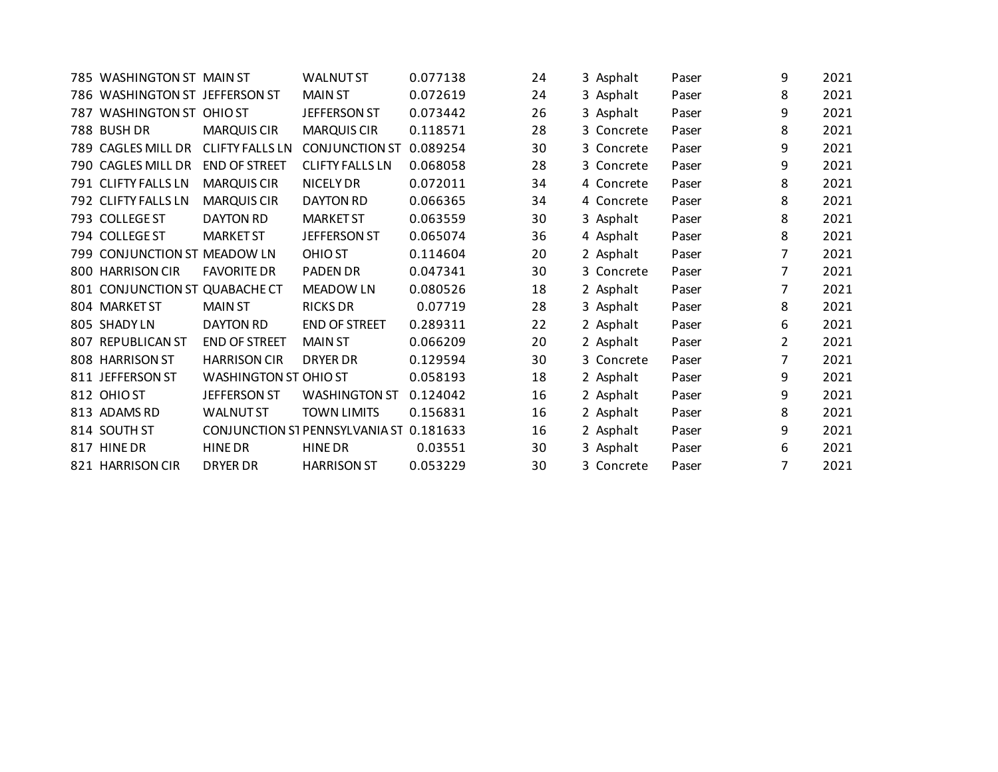| 785 WASHINGTON ST MAIN ST      |                        | <b>WALNUT ST</b>                        | 0.077138 | 24 | 3 Asphalt  | Paser | 9              | 2021 |
|--------------------------------|------------------------|-----------------------------------------|----------|----|------------|-------|----------------|------|
| 786 WASHINGTON ST JEFFERSON ST |                        | <b>MAIN ST</b>                          | 0.072619 | 24 | 3 Asphalt  | Paser | 8              | 2021 |
| 787 WASHINGTON ST              | <b>OHIO ST</b>         | JEFFERSON ST                            | 0.073442 | 26 | 3 Asphalt  | Paser | 9              | 2021 |
| 788 BUSH DR                    | <b>MARQUIS CIR</b>     | <b>MARQUIS CIR</b>                      | 0.118571 | 28 | 3 Concrete | Paser | 8              | 2021 |
| 789 CAGLES MILL DR             | <b>CLIFTY FALLS LN</b> | <b>CONJUNCTION ST</b>                   | 0.089254 | 30 | 3 Concrete | Paser | 9              | 2021 |
| 790 CAGLES MILL DR             | <b>END OF STREET</b>   | <b>CLIFTY FALLS LN</b>                  | 0.068058 | 28 | 3 Concrete | Paser | 9              | 2021 |
| 791 CLIFTY FALLS LN            | <b>MARQUIS CIR</b>     | NICELY DR                               | 0.072011 | 34 | 4 Concrete | Paser | 8              | 2021 |
| 792 CLIFTY FALLS LN            | <b>MARQUIS CIR</b>     | <b>DAYTON RD</b>                        | 0.066365 | 34 | 4 Concrete | Paser | 8              | 2021 |
| 793 COLLEGE ST                 | <b>DAYTON RD</b>       | <b>MARKET ST</b>                        | 0.063559 | 30 | 3 Asphalt  | Paser | 8              | 2021 |
| 794 COLLEGE ST                 | <b>MARKET ST</b>       | <b>JEFFERSON ST</b>                     | 0.065074 | 36 | 4 Asphalt  | Paser | 8              | 2021 |
| 799 CONJUNCTION ST             | <b>MEADOW LN</b>       | <b>OHIO ST</b>                          | 0.114604 | 20 | 2 Asphalt  | Paser | 7              | 2021 |
| 800 HARRISON CIR               | <b>FAVORITE DR</b>     | <b>PADEN DR</b>                         | 0.047341 | 30 | 3 Concrete | Paser | $\overline{7}$ | 2021 |
| 801 CONJUNCTION ST             | <b>QUABACHE CT</b>     | <b>MEADOW LN</b>                        | 0.080526 | 18 | 2 Asphalt  | Paser | $\overline{7}$ | 2021 |
| 804 MARKET ST                  | <b>MAIN ST</b>         | <b>RICKS DR</b>                         | 0.07719  | 28 | 3 Asphalt  | Paser | 8              | 2021 |
| 805 SHADYLN                    | DAYTON RD              | <b>END OF STREET</b>                    | 0.289311 | 22 | 2 Asphalt  | Paser | 6              | 2021 |
| 807 REPUBLICAN ST              | <b>END OF STREET</b>   | <b>MAIN ST</b>                          | 0.066209 | 20 | 2 Asphalt  | Paser | 2              | 2021 |
| 808 HARRISON ST                | <b>HARRISON CIR</b>    | <b>DRYER DR</b>                         | 0.129594 | 30 | 3 Concrete | Paser | $\overline{7}$ | 2021 |
| 811 JEFFERSON ST               | WASHINGTON ST OHIO ST  |                                         | 0.058193 | 18 | 2 Asphalt  | Paser | 9              | 2021 |
| 812 OHIO ST                    | JEFFERSON ST           | <b>WASHINGTON ST</b>                    | 0.124042 | 16 | 2 Asphalt  | Paser | 9              | 2021 |
| 813 ADAMS RD                   | <b>WALNUT ST</b>       | <b>TOWN LIMITS</b>                      | 0.156831 | 16 | 2 Asphalt  | Paser | 8              | 2021 |
| 814 SOUTH ST                   |                        | CONJUNCTION ST PENNSYLVANIA ST 0.181633 |          | 16 | 2 Asphalt  | Paser | 9              | 2021 |
| 817 HINE DR                    | <b>HINE DR</b>         | <b>HINE DR</b>                          | 0.03551  | 30 | 3 Asphalt  | Paser | 6              | 2021 |
| 821 HARRISON CIR               | <b>DRYER DR</b>        | <b>HARRISON ST</b>                      | 0.053229 | 30 | 3 Concrete | Paser | 7              | 2021 |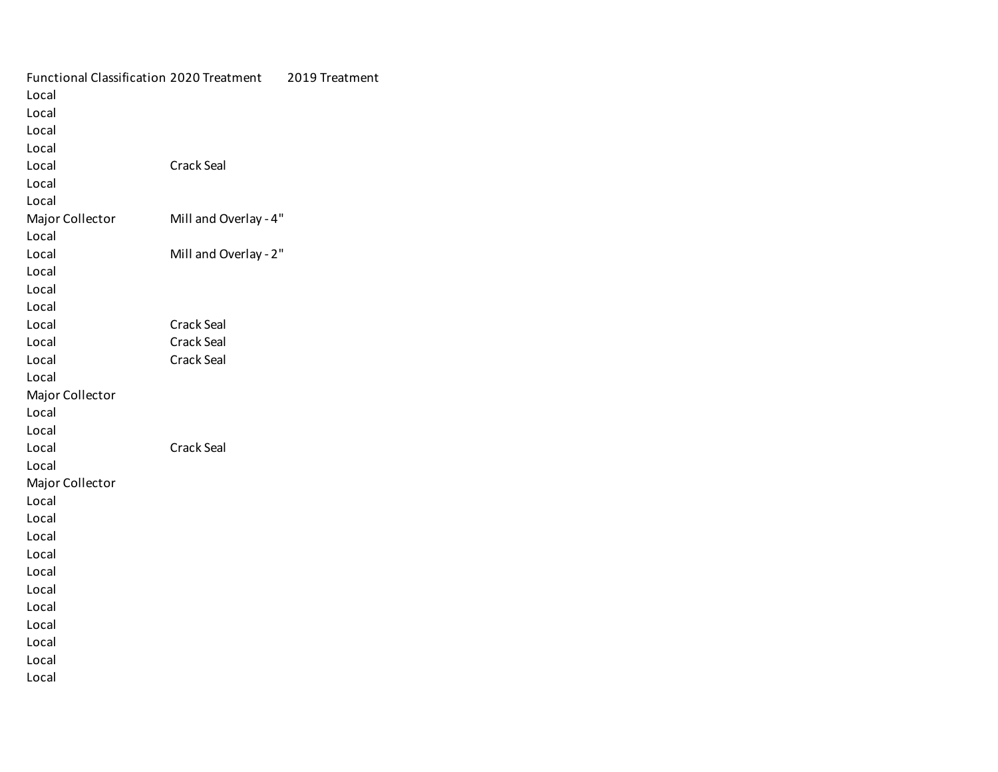| <b>Functional Classification 2020 Treatment</b> |                       | 2019 Treatment |
|-------------------------------------------------|-----------------------|----------------|
| Local                                           |                       |                |
| Local                                           |                       |                |
| Local                                           |                       |                |
| Local                                           |                       |                |
| Local                                           | <b>Crack Seal</b>     |                |
| Local                                           |                       |                |
| Local                                           |                       |                |
| Major Collector                                 | Mill and Overlay - 4" |                |
| Local                                           |                       |                |
| Local                                           | Mill and Overlay - 2" |                |
| Local                                           |                       |                |
| Local                                           |                       |                |
| Local                                           |                       |                |
| Local                                           | <b>Crack Seal</b>     |                |
| Local                                           | <b>Crack Seal</b>     |                |
| Local                                           | <b>Crack Seal</b>     |                |
| Local                                           |                       |                |
| Major Collector                                 |                       |                |
| Local                                           |                       |                |
| Local                                           |                       |                |
| Local                                           | <b>Crack Seal</b>     |                |
| Local                                           |                       |                |
| Major Collector                                 |                       |                |
| Local                                           |                       |                |
| Local                                           |                       |                |
| Local                                           |                       |                |
| Local                                           |                       |                |
| Local                                           |                       |                |
| Local                                           |                       |                |
| Local                                           |                       |                |
| Local                                           |                       |                |
| Local                                           |                       |                |
| Local                                           |                       |                |
| Local                                           |                       |                |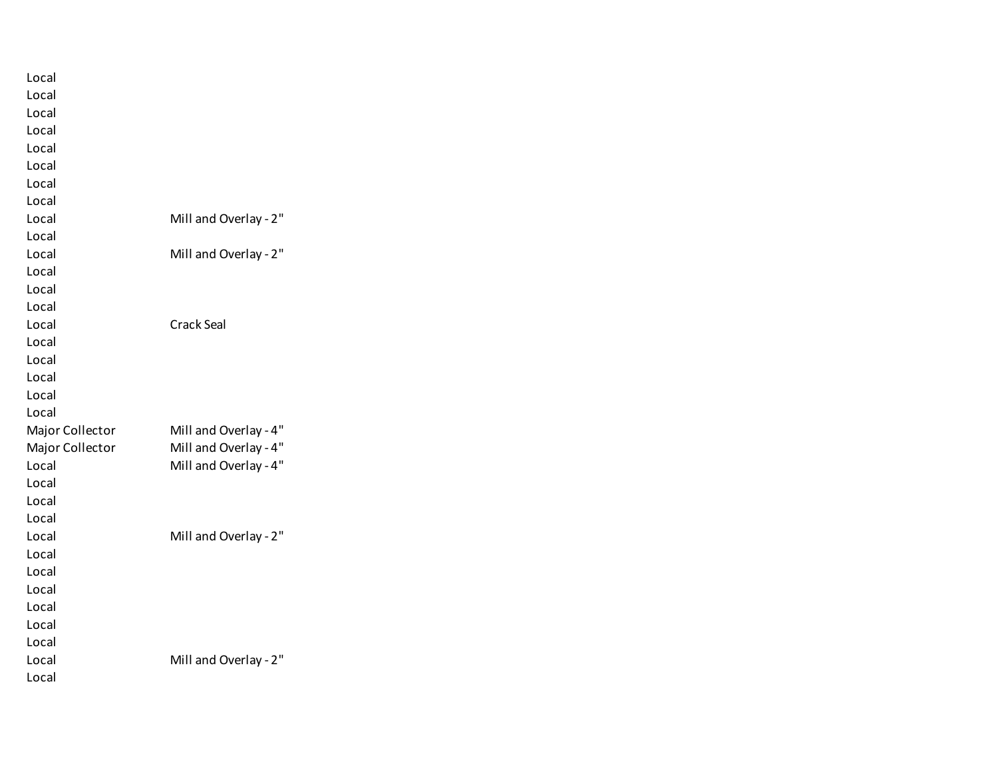| Local           |                       |
|-----------------|-----------------------|
| Local           |                       |
| Local           |                       |
| Local           |                       |
| Local           |                       |
| Local           |                       |
| Local           |                       |
| Local           |                       |
| Local           | Mill and Overlay - 2" |
| Local           |                       |
| Local           | Mill and Overlay - 2" |
| Local           |                       |
| Local           |                       |
| Local           |                       |
| Local           | <b>Crack Seal</b>     |
| Local           |                       |
| Local           |                       |
| Local           |                       |
| Local           |                       |
| Local           |                       |
| Major Collector | Mill and Overlay - 4" |
| Major Collector | Mill and Overlay - 4" |
| Local           | Mill and Overlay - 4" |
| Local           |                       |
| Local           |                       |
| Local           |                       |
| Local           | Mill and Overlay - 2" |
| Local           |                       |
| Local           |                       |
| Local           |                       |
| Local           |                       |
| Local           |                       |
| Local           |                       |
| Local           | Mill and Overlay - 2" |
| Local           |                       |